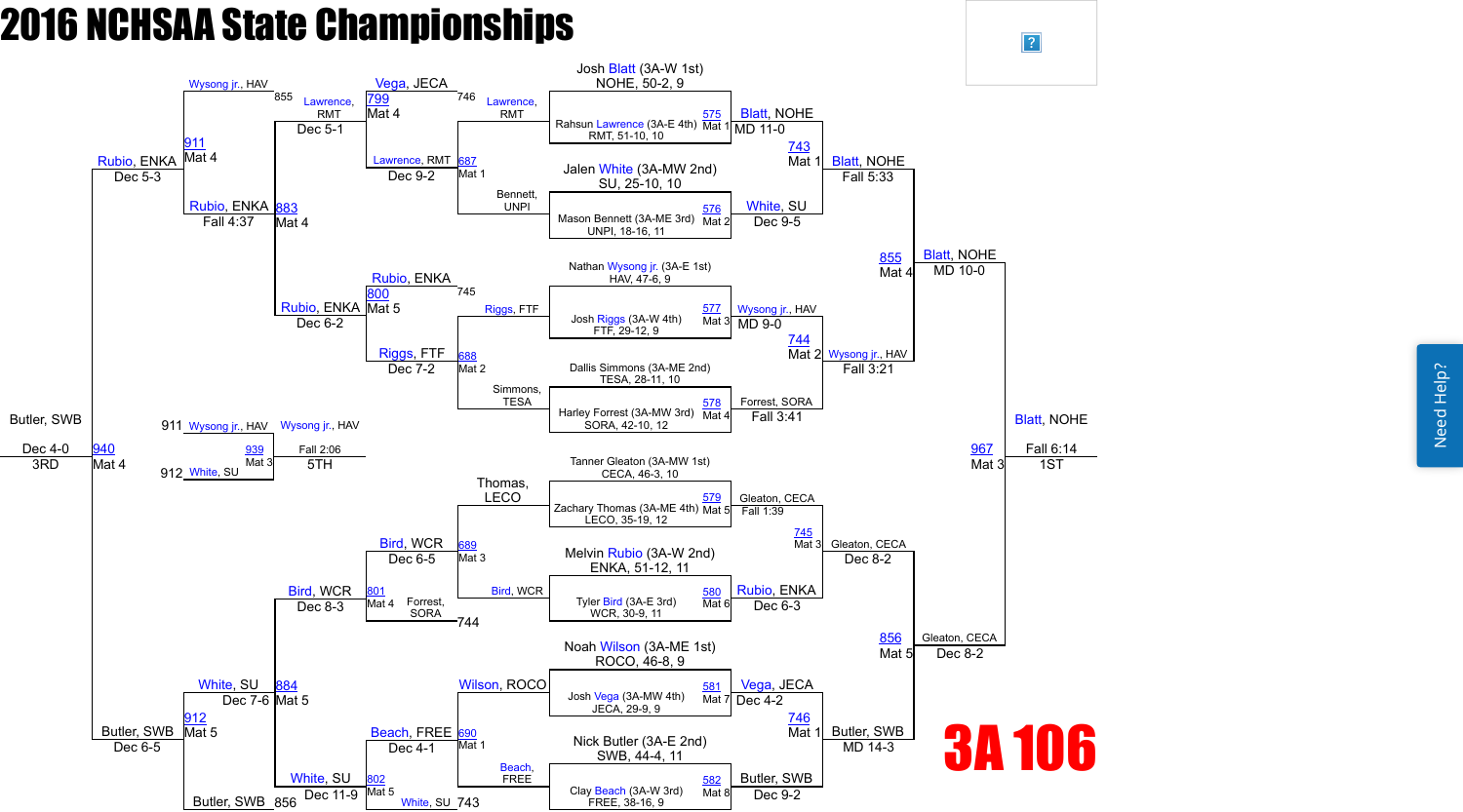

 $\sqrt{?}$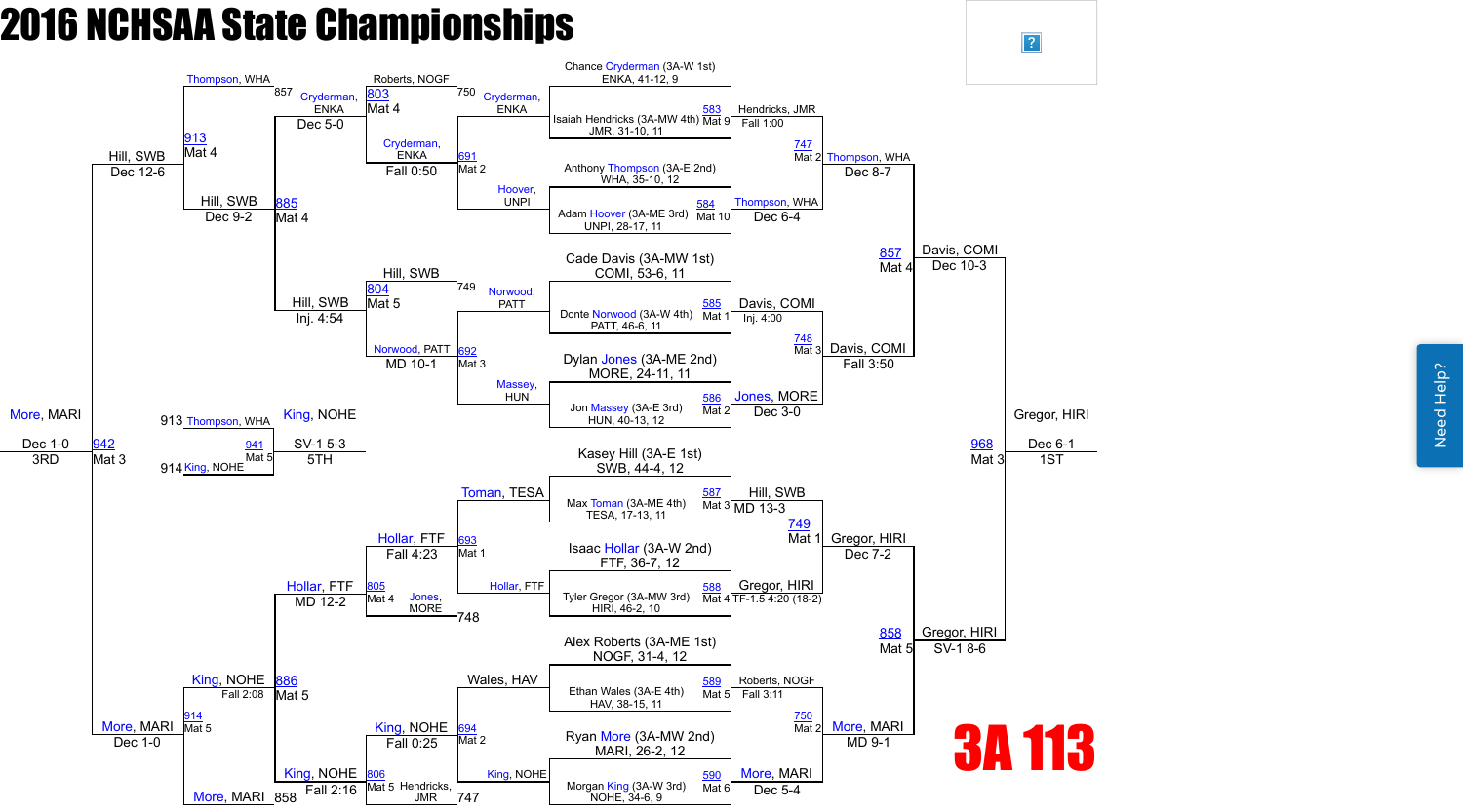Need Help? Need Help?



 $\vert$ ?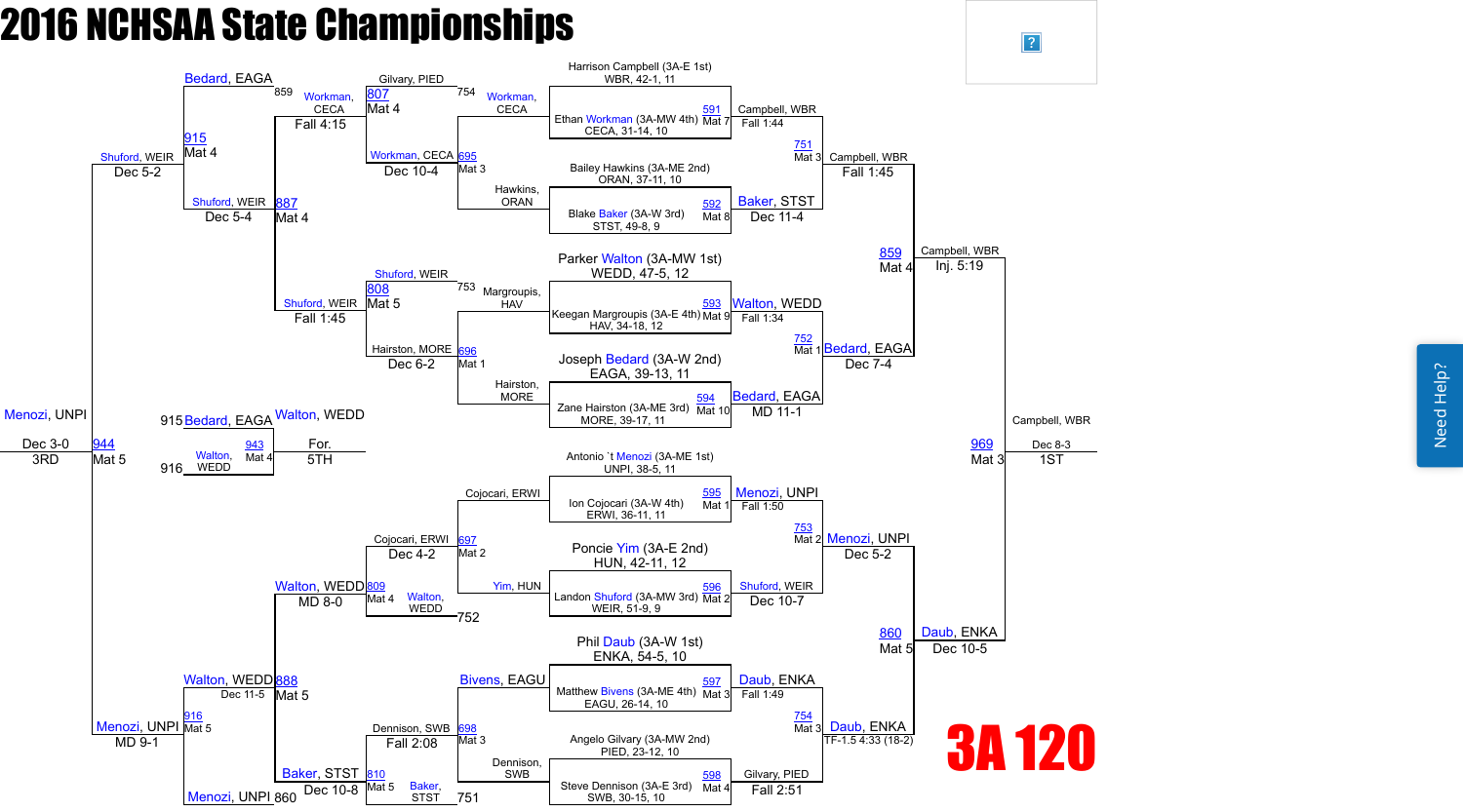Need Help? Need Help?



 $\boxed{?}$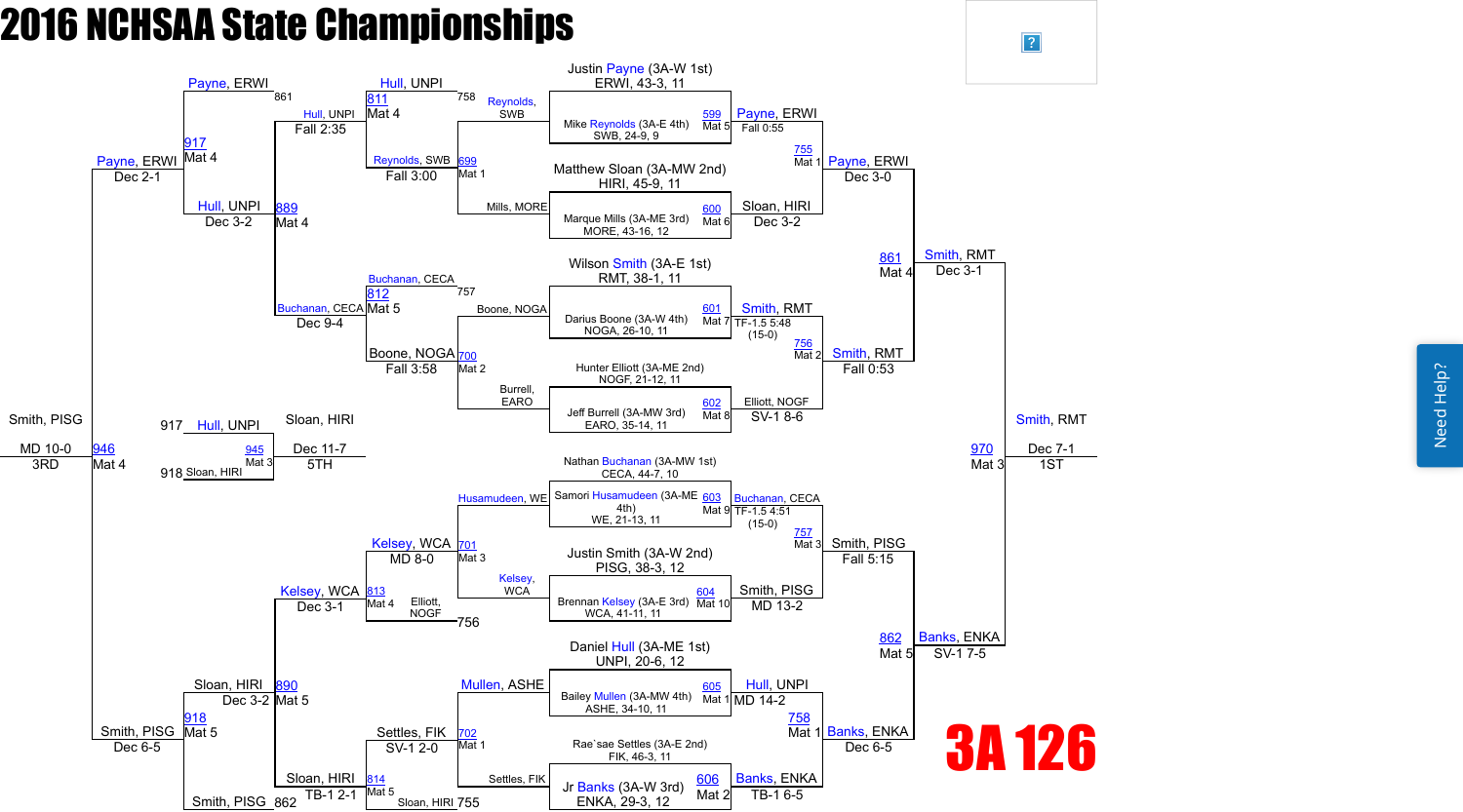

 $\boxed{?}$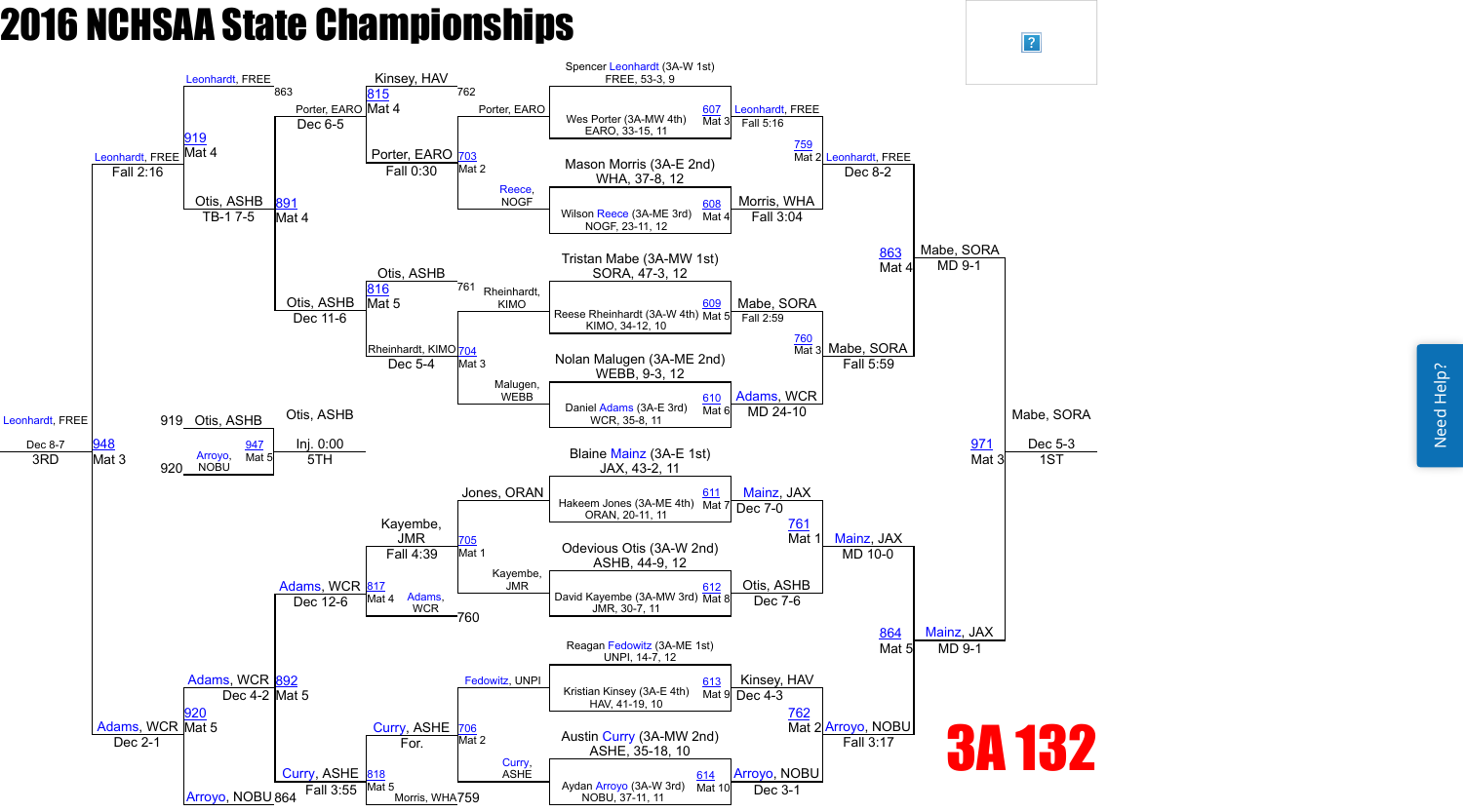

 $\vert$ ?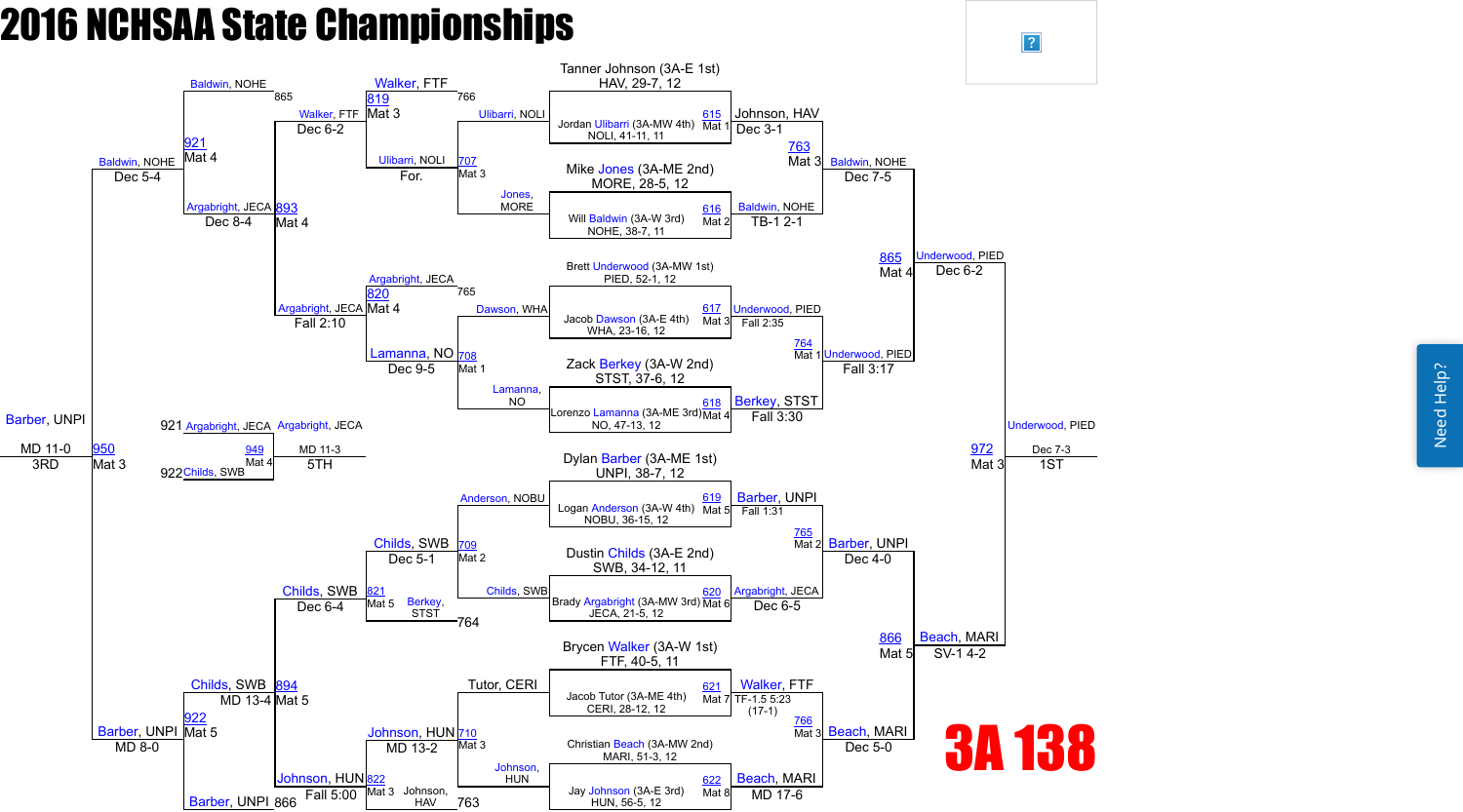Need Help? Need Help?



 $\boxed{?}$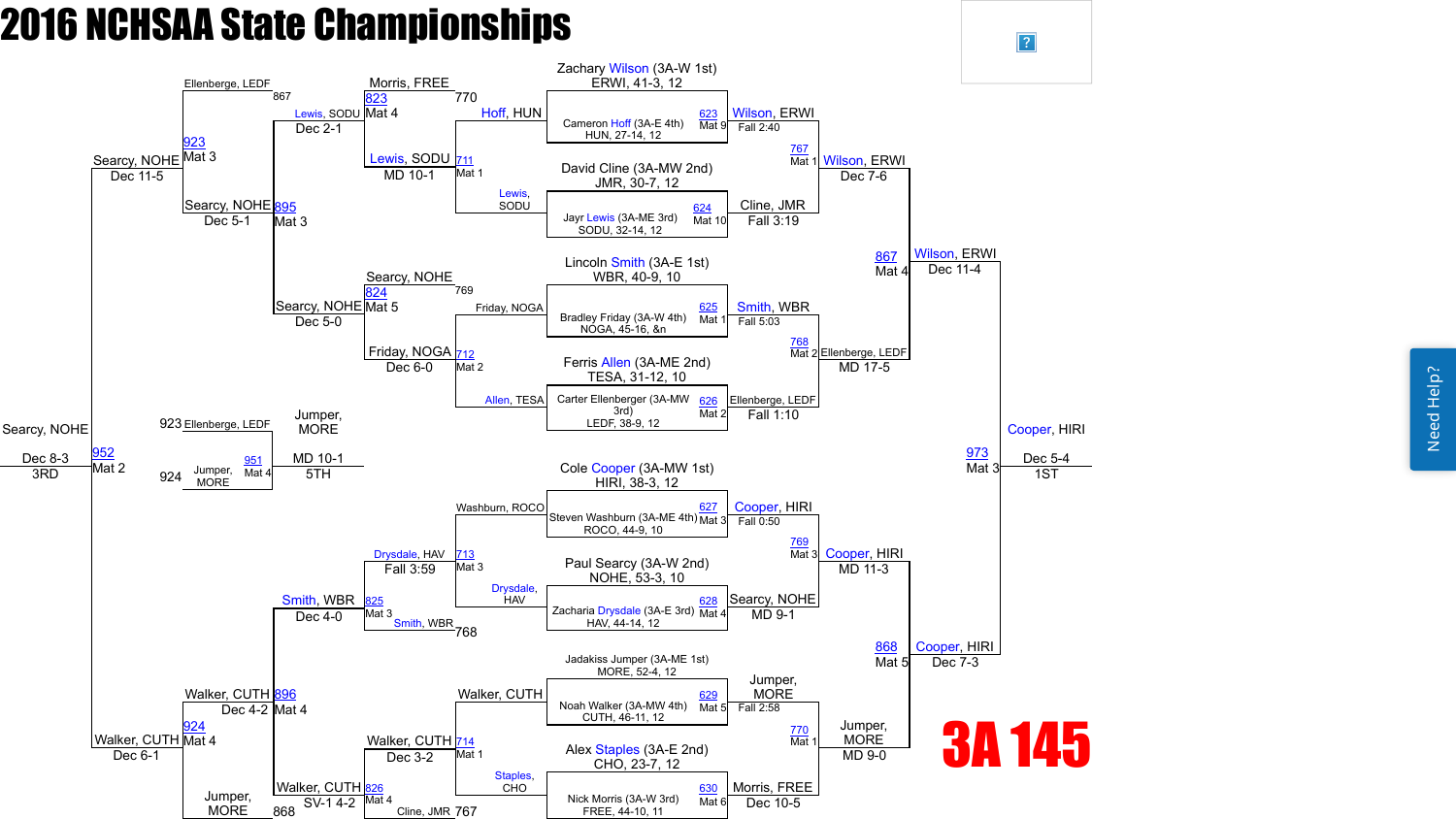Need Help? Need Help?



 $\boxed{?}$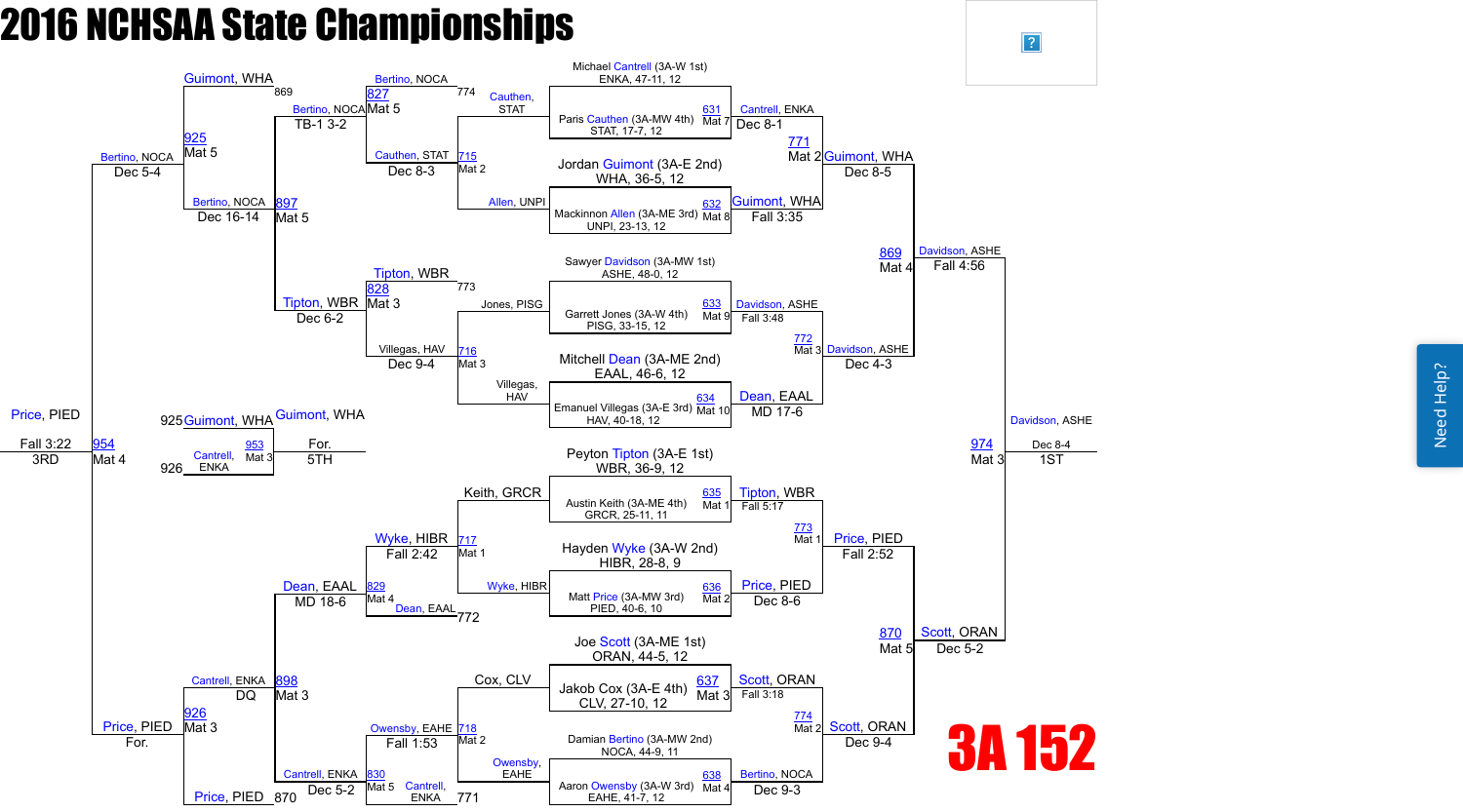

 $\sqrt{?}$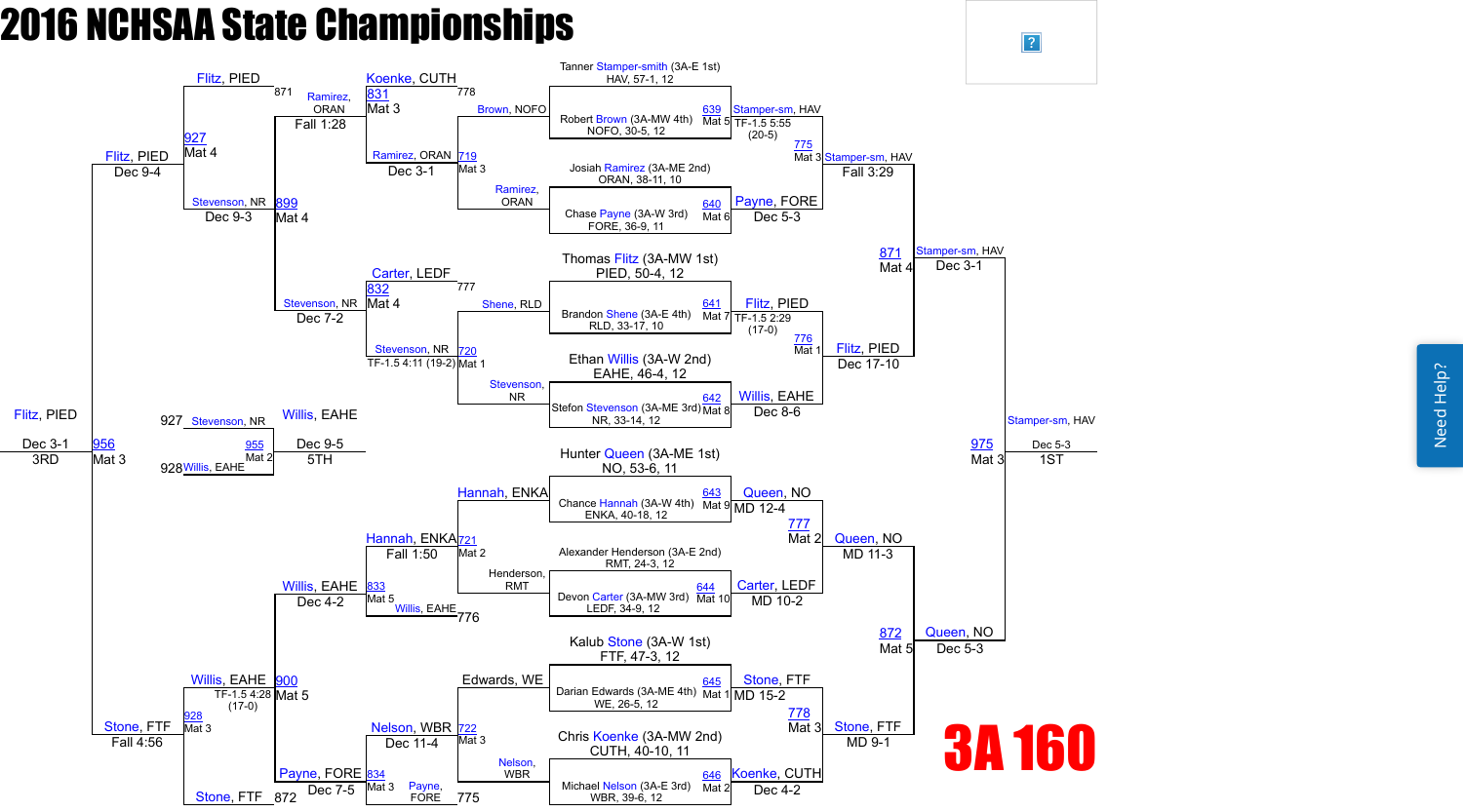Need Help? Need Help?



 $\sqrt{?}$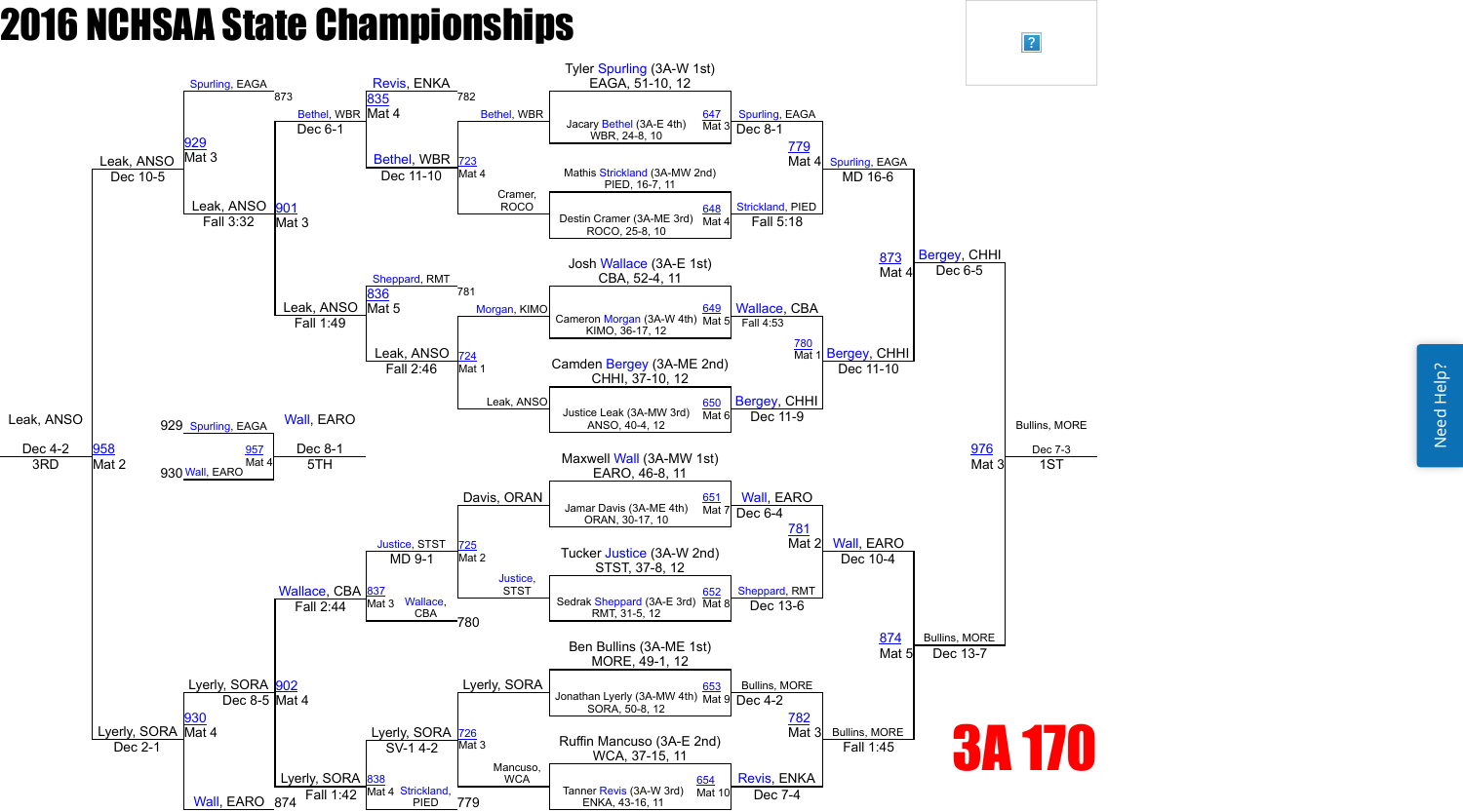

 $\sqrt{?}$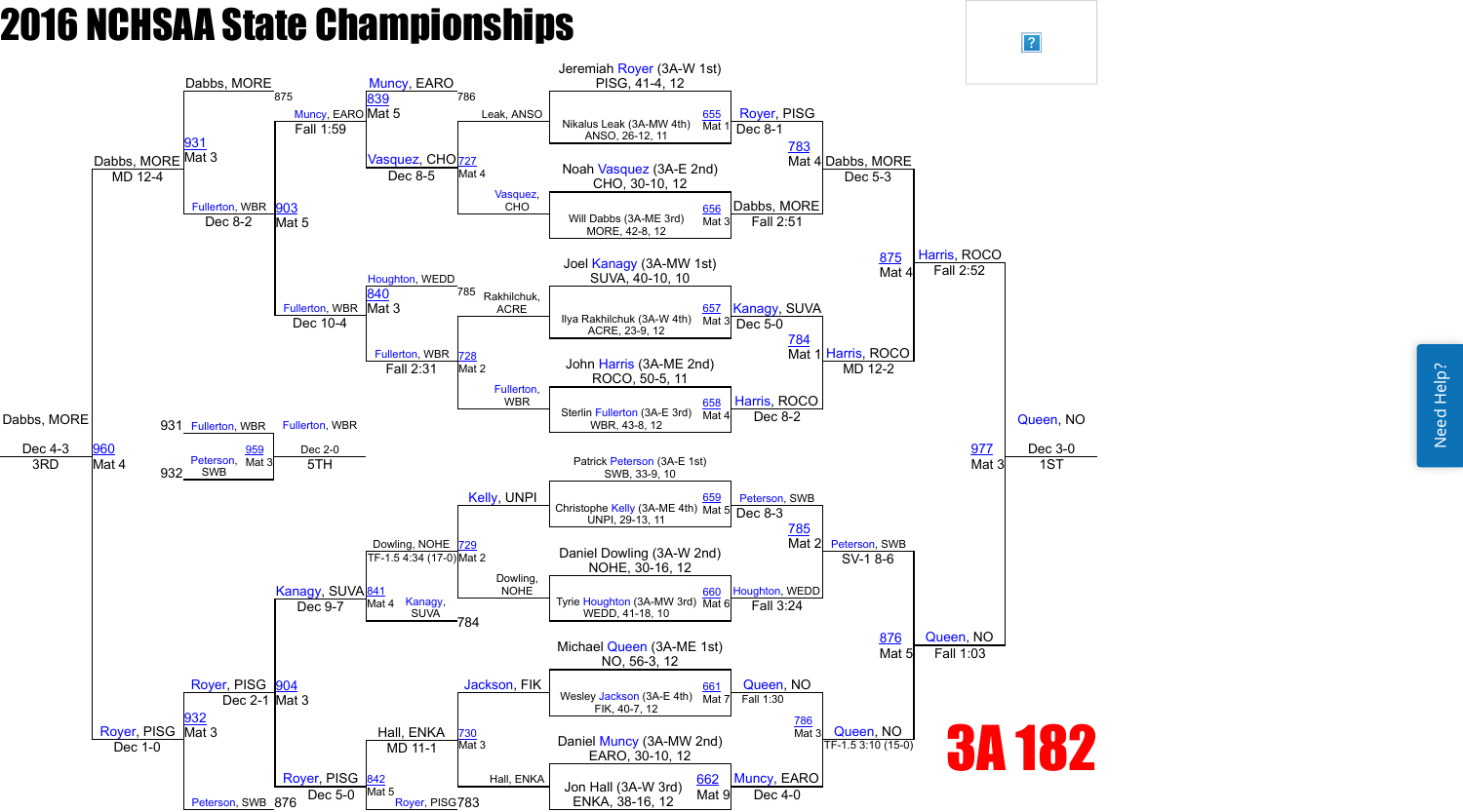

 $\boxed{?}$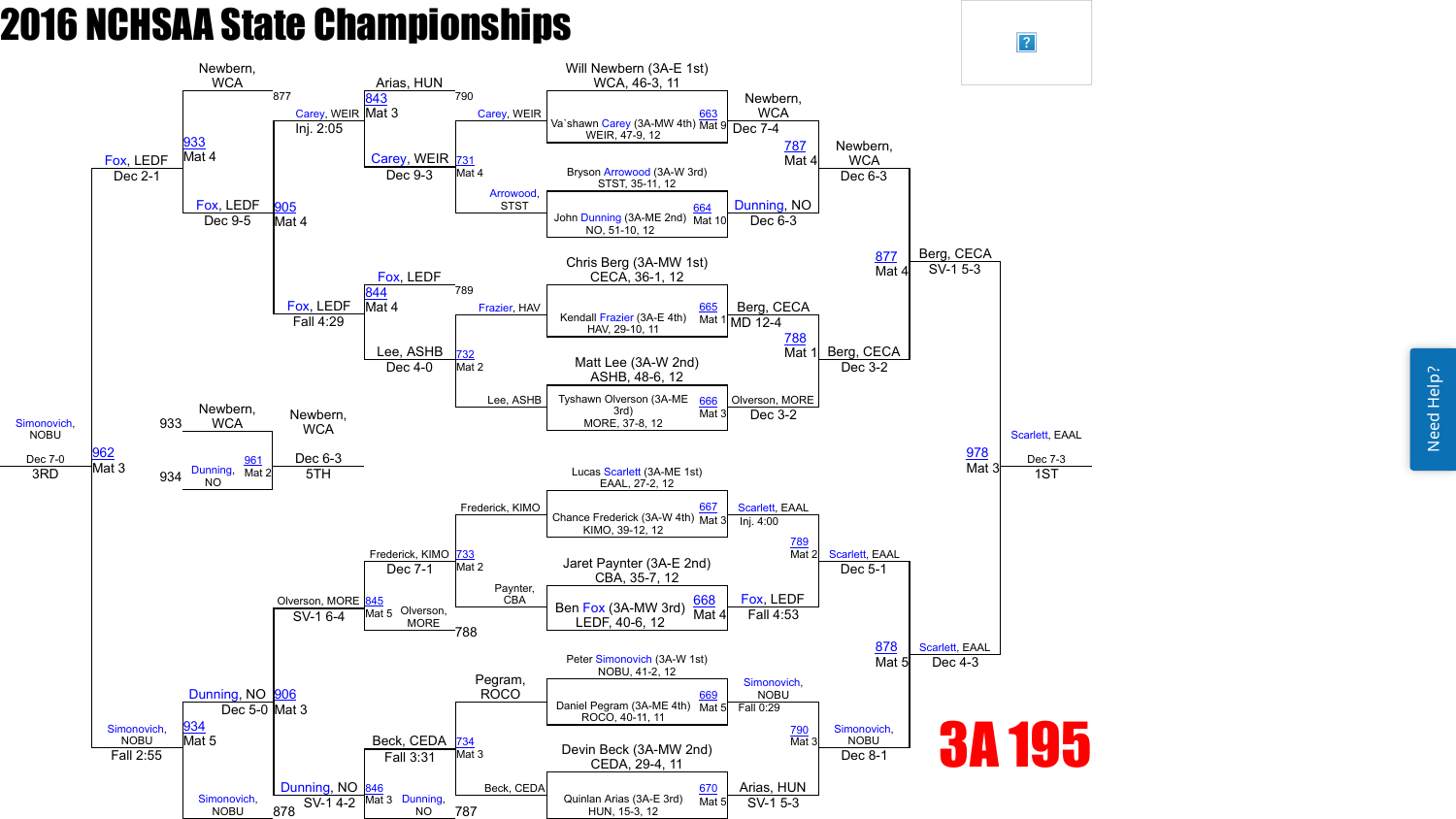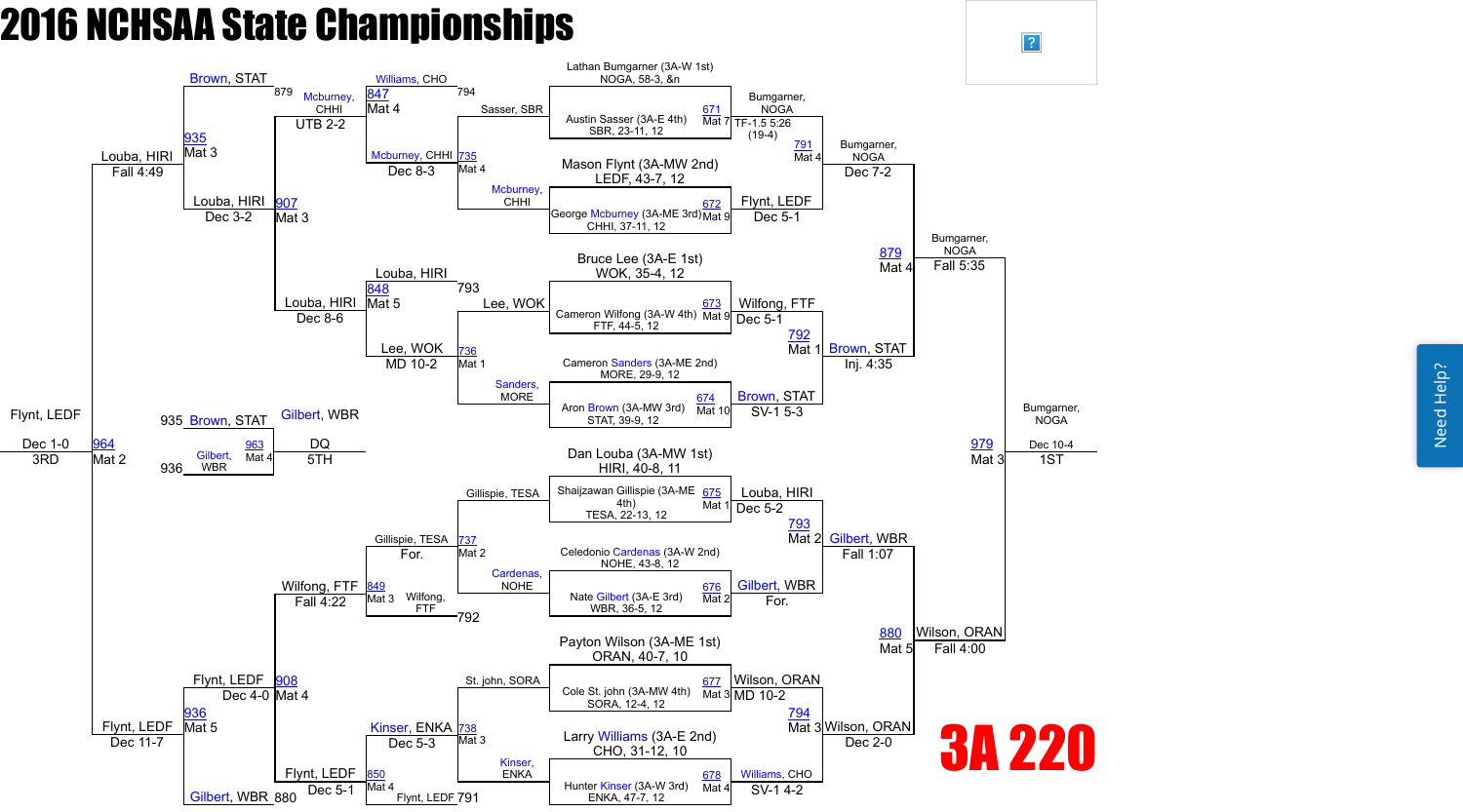

 $\vert$ ?